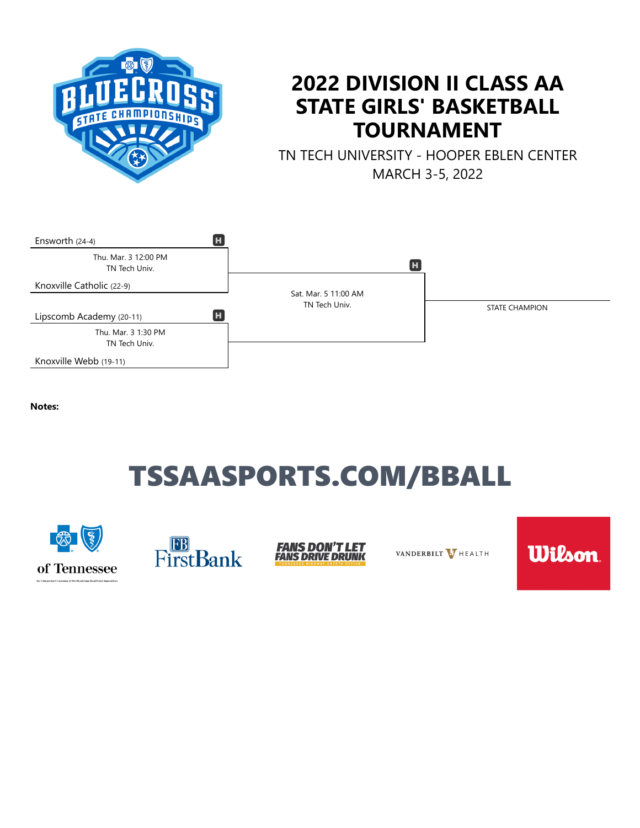

## **2022 DIVISION II CLASS AA STATE GIRLS' BASKETBALL TOURNAMENT**

TN TECH UNIVERSITY - HOOPER EBLEN CENTER MARCH 3-5, 2022



**Notes:**

# TSSAASPORTS.COM/BBALL







VANDERBILT V HEALTH

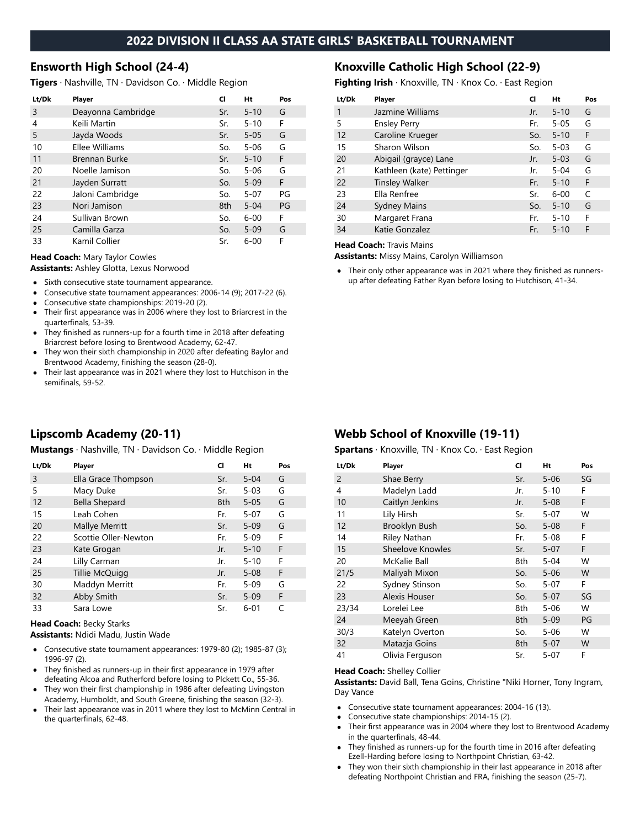#### **2022 DIVISION II CLASS AA STATE GIRLS' BASKETBALL TOURNAMENT**

#### **Ensworth High School (24-4)**

**Tigers** · Nashville, TN · Davidson Co. · Middle Region

| Lt/Dk | Player             | CI  | Ht       | Pos |
|-------|--------------------|-----|----------|-----|
| 3     | Deayonna Cambridge | Sr. | $5 - 10$ | G   |
| 4     | Keili Martin       | Sr. | $5 - 10$ | F   |
| 5     | Jayda Woods        | Sr. | $5 - 05$ | G   |
| 10    | Ellee Williams     | So. | $5 - 06$ | G   |
| 11    | Brennan Burke      | Sr. | $5 - 10$ | F   |
| 20    | Noelle Jamison     | So. | $5 - 06$ | G   |
| 21    | Jayden Surratt     | So. | $5 - 09$ | F   |
| 22    | Jaloni Cambridge   | So. | $5 - 07$ | PG  |
| 23    | Nori Jamison       | 8th | $5 - 04$ | PG  |
| 24    | Sullivan Brown     | So. | $6 - 00$ | F   |
| 25    | Camilla Garza      | So. | $5 - 09$ | G   |
| 33    | Kamil Collier      | Sr. | $6 - 00$ | F   |

**Head Coach:** Mary Taylor Cowles

**Assistants:** Ashley Glotta, Lexus Norwood

- $\bullet$ Sixth consecutive state tournament appearance.
- Consecutive state tournament appearances: 2006-14 (9); 2017-22 (6).  $\bullet$
- Consecutive state championships: 2019-20 (2).  $\bullet$
- Their first appearance was in 2006 where they lost to Briarcrest in the  $\bullet$ quarterfinals, 53-39.
- They finished as runners-up for a fourth time in 2018 after defeating Briarcrest before losing to Brentwood Academy, 62-47.
- They won their sixth championship in 2020 after defeating Baylor and Brentwood Academy, finishing the season (28-0).
- Their last appearance was in 2021 where they lost to Hutchison in the semifinals, 59-52.

## **Lipscomb Academy (20-11)**

**Mustangs** · Nashville, TN · Davidson Co. · Middle Region

| Lt/Dk | Player               | CI  | Ht       | Pos |
|-------|----------------------|-----|----------|-----|
| 3     | Ella Grace Thompson  | Sr. | $5 - 04$ | G   |
| 5     | Macy Duke            | Sr. | $5 - 03$ | G   |
| 12    | <b>Bella Shepard</b> | 8th | $5 - 05$ | G   |
| 15    | Leah Cohen           | Fr. | $5 - 07$ | G   |
| 20    | Mallye Merritt       | Sr. | $5 - 09$ | G   |
| 22    | Scottie Oller-Newton | Fr. | $5 - 09$ | F   |
| 23    | Kate Grogan          | Jr. | $5 - 10$ | F   |
| 24    | Lilly Carman         | Jr. | $5 - 10$ | F   |
| 25    | Tillie McQuigg       | Jr. | $5 - 08$ | F   |
| 30    | Maddyn Merritt       | Fr. | $5 - 09$ | G   |
| 32    | Abby Smith           | Sr. | $5 - 09$ | F   |
| 33    | Sara Lowe            | Sr. | $6 - 01$ | C   |

#### **Head Coach:** Becky Starks

**Assistants:** Ndidi Madu, Justin Wade

- Consecutive state tournament appearances: 1979-80 (2); 1985-87 (3); 1996-97 (2).
- They finished as runners-up in their first appearance in 1979 after defeating Alcoa and Rutherford before losing to PIckett Co., 55-36.
- They won their first championship in 1986 after defeating Livingston Academy, Humboldt, and South Greene, finishing the season (32-3).
- Their last appearance was in 2011 where they lost to McMinn Central in the quarterfinals, 62-48.

#### **Knoxville Catholic High School (22-9)**

**Fighting Irish** · Knoxville, TN · Knox Co. · East Region

| Lt/Dk | Player                    | CI  | Ht       | Pos |
|-------|---------------------------|-----|----------|-----|
| 1     | Jazmine Williams          | Jr. | $5 - 10$ | G   |
| 5     | <b>Ensley Perry</b>       | Fr. | $5 - 05$ | G   |
| 12    | Caroline Krueger          | So. | $5 - 10$ | F   |
| 15    | Sharon Wilson             | So. | $5 - 03$ | G   |
| 20    | Abigail (grayce) Lane     | Jr. | $5 - 03$ | G   |
| 21    | Kathleen (kate) Pettinger | Jr. | $5 - 04$ | G   |
| 22    | <b>Tinsley Walker</b>     | Fr. | $5 - 10$ | F   |
| 23    | Ella Renfree              | Sr. | $6 - 00$ | C   |
| 24    | <b>Sydney Mains</b>       | So. | $5 - 10$ | G   |
| 30    | Margaret Frana            | Fr. | $5 - 10$ | F   |
| 34    | Katie Gonzalez            | Fr. | $5 - 10$ | F   |
|       |                           |     |          |     |

**Head Coach:** Travis Mains

**Assistants:** Missy Mains, Carolyn Williamson

Their only other appearance was in 2021 where they finished as runnersup after defeating Father Ryan before losing to Hutchison, 41-34.

## **Webb School of Knoxville (19-11)**

**Spartans** · Knoxville, TN · Knox Co. · East Region

| Lt/Dk          | Player           | CI  | Ht       | Pos |
|----------------|------------------|-----|----------|-----|
| $\overline{2}$ | Shae Berry       | Sr. | $5 - 06$ | SG  |
| 4              | Madelyn Ladd     | Jr. | $5 - 10$ | F   |
| 10             | Caitlyn Jenkins  | Jr. | $5 - 08$ | F   |
| 11             | Lily Hirsh       | Sr. | $5 - 07$ | W   |
| 12             | Brooklyn Bush    | So. | $5 - 08$ | F   |
| 14             | Riley Nathan     | Fr. | $5 - 08$ | F   |
| 15             | Sheelove Knowles | Sr. | $5 - 07$ | F   |
| 20             | McKalie Ball     | 8th | $5 - 04$ | W   |
| 21/5           | Maliyah Mixon    | So. | $5 - 06$ | W   |
| 22             | Sydney Stinson   | So. | $5 - 07$ | F   |
| 23             | Alexis Houser    | So. | $5 - 07$ | SG  |
| 23/34          | Lorelei Lee      | 8th | $5 - 06$ | W   |
| 24             | Meeyah Green     | 8th | $5 - 09$ | PG  |
| 30/3           | Katelyn Overton  | So. | $5 - 06$ | W   |
| 32             | Matazja Goins    | 8th | $5 - 07$ | W   |
| 41             | Olivia Ferguson  | Sr. | 5-07     | F   |

#### **Head Coach:** Shelley Collier

**Assistants:** David Ball, Tena Goins, Christine "Niki Horner, Tony Ingram, Day Vance

- Consecutive state tournament appearances: 2004-16 (13).  $\bullet$
- Consecutive state championships: 2014-15 (2).
- Their first appearance was in 2004 where they lost to Brentwood Academy  $\bullet$ in the quarterfinals, 48-44.
- They finished as runners-up for the fourth time in 2016 after defeating Ezell-Harding before losing to Northpoint Christian, 63-42.
- They won their sixth championship in their last appearance in 2018 after defeating Northpoint Christian and FRA, finishing the season (25-7).